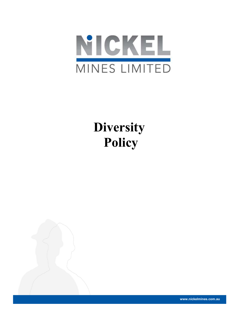

# **Diversity** Policy



www.nickelmines.com.au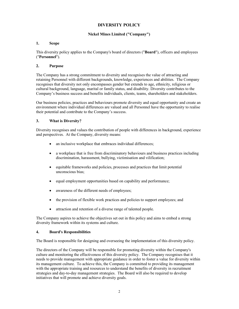# DIVERSITY POLICY

## Nickel Mines Limited ("Company")

## 1. Scope

This diversity policy applies to the Company's board of directors ("Board"), officers and employees ("Personnel").

## 2. Purpose

The Company has a strong commitment to diversity and recognises the value of attracting and retaining Personnel with different backgrounds, knowledge, experiences and abilities. The Company recognises that diversity not only encompasses gender but extends to age, ethnicity, religious or cultural background, language, marital or family status, and disability. Diversity contributes to the Company's business success and benefits individuals, clients, teams, shareholders and stakeholders.

Our business policies, practices and behaviours promote diversity and equal opportunity and create an environment where individual differences are valued and all Personnel have the opportunity to realise their potential and contribute to the Company's success.

#### 3. What is Diversity?

Diversity recognises and values the contribution of people with differences in background, experience and perspectives. At the Company, diversity means:

- an inclusive workplace that embraces individual differences;
- a workplace that is free from discriminatory behaviours and business practices including discrimination, harassment, bullying, victimisation and vilification;
- equitable frameworks and policies, processes and practices that limit potential unconscious bias;
- equal employment opportunities based on capability and performance;
- awareness of the different needs of employees;
- the provision of flexible work practices and policies to support employees; and
- attraction and retention of a diverse range of talented people.

The Company aspires to achieve the objectives set out in this policy and aims to embed a strong diversity framework within its systems and culture.

#### 4. Board's Responsibilities

The Board is responsible for designing and overseeing the implementation of this diversity policy.

The directors of the Company will be responsible for promoting diversity within the Company's culture and monitoring the effectiveness of this diversity policy. The Company recognises that it needs to provide management with appropriate guidance in order to foster a value for diversity within its management culture. To achieve this, the Company is committed to providing its management with the appropriate training and resources to understand the benefits of diversity in recruitment strategies and day-to-day management strategies. The Board will also be required to develop initiatives that will promote and achieve diversity goals.